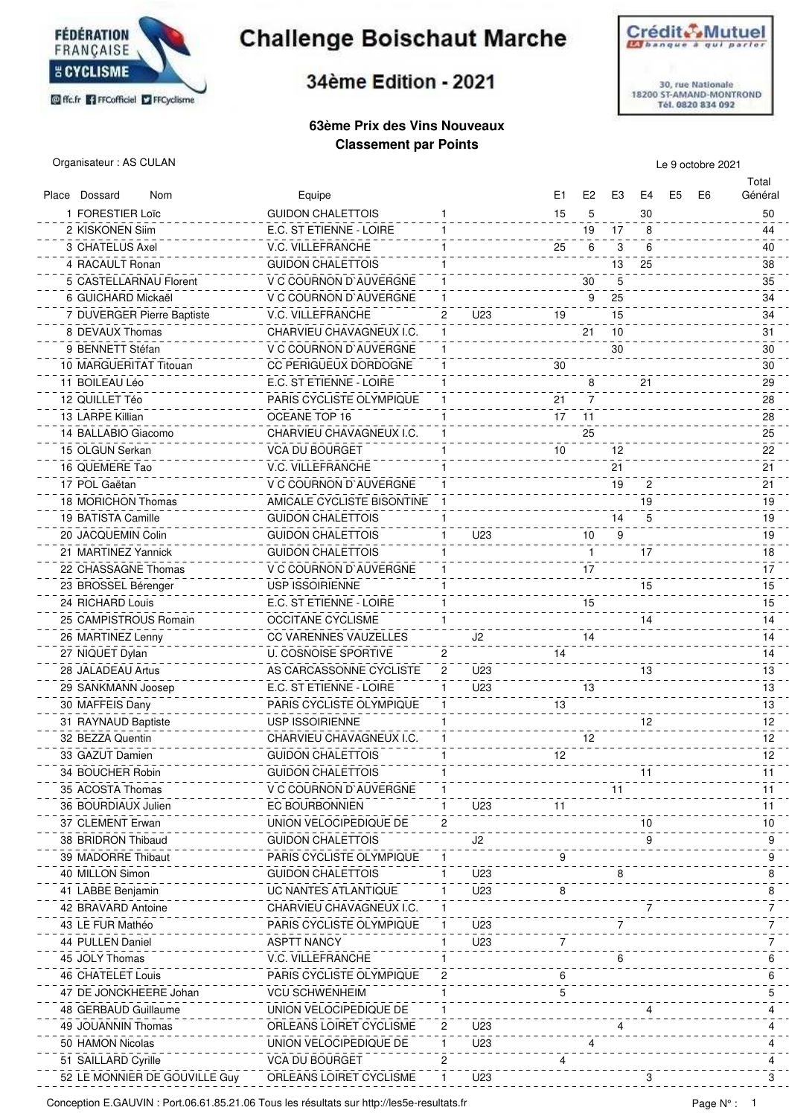

## **Challenge Boischaut Marche**

## 34ème Edition - 2021

#### **63ème Prix des Vins Nouveaux Classement par Points**



Organisateur : AS CULAN Le 9 octobre 2021

Total

| Place Dossard<br>Nom          | Equipe                          |              |     | E1 | E <sub>2</sub> | E3 | E4 | E5 | E <sub>6</sub> | Général |
|-------------------------------|---------------------------------|--------------|-----|----|----------------|----|----|----|----------------|---------|
| 1 FORESTIER Loïc              | <b>GUIDON CHALETTOIS</b>        | 1            |     | 15 | 5              |    | 30 |    |                | 50      |
| 2 KISKONEN Siim               | E.C. ST ETIENNE - LOIRE         | 1            |     |    | 19             | 17 | 8  |    |                | 44      |
| 3 CHATELUS Axel               | V.C. VILLEFRANCHE               |              |     | 25 | 6              | 3  | 6  |    |                | 40      |
| 4 RACAULT Ronan               | <b>GUIDON CHALETTOIS</b>        |              |     |    |                | 13 | 25 |    |                | 38      |
| 5 CASTELLARNAU Florent        | V C COURNON D'AUVERGNE          | 1            |     |    | 30             | 5  |    |    |                | 35      |
| 6 GUICHARD Mickaël            | V C COURNON D`AUVERGNE          |              |     |    | 9              | 25 |    |    |                | 34      |
| 7 DUVERGER Pierre Baptiste    | V.C. VILLEFRANCHE               | 2            | U23 | 19 |                | 15 |    |    |                | 34      |
| 8 DEVAUX Thomas               | CHARVIEU CHAVAGNEUX I.C.        |              |     |    | 21             | 10 |    |    |                | 31      |
| 9 BENNETT Stéfan              |                                 |              |     |    |                | 30 |    |    |                | 30      |
|                               | V C COURNON D'AUVERGNE          |              |     |    |                |    |    |    |                |         |
| 10 MARGUERITAT Titouan        | CC PERIGUEUX DORDOGNE           |              |     | 30 |                |    |    |    |                | 30      |
| 11 BOILEAU Léo                | E.C. ST ETIENNE - LOIRE         |              |     |    | 8              |    | 21 |    |                | 29      |
| 12 QUILLET Téo                | PARIS CYCLISTE OLYMPIQUE        |              |     | 21 | 7              |    |    |    |                | 28      |
| 13 LARPE Killian              | OCEANE TOP 16                   |              |     | 17 | 11             |    |    |    |                | 28      |
| 14 BALLABIO Giacomo           | CHARVIEU CHAVAGNEUX I.C.        |              |     |    | 25             |    |    |    |                | 25      |
| 15 OLGUN Serkan               | VCA DU BOURGET                  |              |     | 10 |                | 12 |    |    |                | 22      |
| 16 QUEMERE Tao                | V.C. VILLEFRANCHE               |              |     |    |                | 21 |    |    |                | 21      |
| 17 POL Gaëtan                 | V C COURNON D'AUVERGNE          |              |     |    |                | 19 | 2  |    |                | 21      |
| 18 MORICHON Thomas            | AMICALE CYCLISTE BISONTINE      |              |     |    |                |    | 19 |    |                | 19      |
| 19 BATISTA Camille            | <b>GUIDON CHALETTOIS</b>        |              |     |    |                | 14 | 5  |    |                | 19      |
| 20 JACQUEMIN Colin            | <b>GUIDON CHALETTOIS</b>        | 1            | U23 |    | 10             | 9  |    |    |                | 19      |
| 21 MARTINEZ Yannick           | <b>GUIDON CHALETTOIS</b>        | 1            |     |    | $\mathbf{1}$   |    | 17 |    |                | 18      |
| 22 CHASSAGNE Thomas           | V C COURNON D'AUVERGNE          |              |     |    | 17             |    |    |    |                | 17      |
| 23 BROSSEL Bérenger           | <b>USP ISSOIRIENNE</b>          | 1            |     |    |                |    | 15 |    |                | 15      |
| 24 RICHARD Louis              | E.C. ST ETIENNE - LOIRE         | 1            |     |    | 15             |    |    |    |                | 15      |
| 25 CAMPISTROUS Romain         | <b>OCCITANE CYCLISME</b>        | 1            |     |    |                |    | 14 |    |                | 14      |
| 26 MARTINEZ Lenny             | <b>CC VARENNES VAUZELLES</b>    |              | J2  |    | 14             |    |    |    |                | 14      |
|                               |                                 | 2            |     | 14 |                |    |    |    |                |         |
| 27 NIQUET Dylan               | <b>U. COSNOISE SPORTIVE</b>     |              |     |    |                |    |    |    |                | 14      |
| 28 JALADEAU Artus             | AS CARCASSONNE CYCLISTE         | 2            | U23 |    |                |    | 13 |    |                | 13      |
| 29 SANKMANN Joosep            | E.C. ST ETIENNE - LOIRE         | 1            | U23 |    | 13             |    |    |    |                | 13      |
| 30 MAFFEIS Dany               | <b>PARIS CYCLISTE OLYMPIQUE</b> |              |     | 13 |                |    |    |    |                | 13      |
| 31 RAYNAUD Baptiste           | <b>USP ISSOIRIENNE</b>          | 1            |     |    |                |    | 12 |    |                | 12      |
| 32 BEZZA Quentin              | CHARVIEU CHAVAGNEUX I.C.        | 1            |     |    | 12             |    |    |    |                | 12      |
| 33 GAZUT Damien               | <b>GUIDON CHALETTOIS</b>        |              |     | 12 |                |    |    |    |                | 12      |
| 34 BOUCHER Robin              | <b>GUIDON CHALETTOIS</b>        | 1            |     |    |                |    | 11 |    |                | 11      |
| 35 ACOSTA Thomas              | V C COURNON D'AUVERGNE          | 1            |     |    |                | 11 |    |    |                | 11      |
| 36 BOURDIAUX Julien           | EC BOURBONNIEN                  |              | U23 | 11 |                |    |    |    |                | 11      |
| 37 CLEMENT Erwan              | UNION VELOCIPEDIQUE DE          | 2            |     |    |                |    | 10 |    |                | 10      |
| 38 BRIDRON Thibaud            | <b>GUIDON CHALETTOIS</b>        |              | J2  |    |                |    |    |    |                | 9       |
| 39 MADORRE Thibaut            | PARIS CYCLISTE OLYMPIQUE        |              |     | 9  |                |    |    |    |                | 9       |
| 40 MILLON Simon               | <b>GUIDON CHALETTOIS</b>        | 1.           | U23 |    |                |    |    |    |                | 8       |
| 41 LABBE Benjamin             | UC NANTES ATLANTIQUE            | 1.           | U23 |    |                |    |    |    |                | 8       |
| 42 BRAVARD Antoine            | CHARVIEU CHAVAGNEUX I.C.        | $\mathbf{1}$ |     |    |                |    |    |    |                | 7       |
| 43 LE FUR Mathéo              | PARIS CYCLISTE OLYMPIQUE        | $\mathbf{1}$ | U23 |    |                |    |    |    |                | 7       |
| 44 PULLEN Daniel              | <b>ASPTT NANCY</b>              | 1.           | U23 |    |                |    |    |    |                | 7       |
| 45 JOLY Thomas                | V.C. VILLEFRANCHE               |              |     |    |                | 6  |    |    |                | 6       |
| 46 CHATELET Louis             | PARIS CYCLISTE OLYMPIQUE        | 2            |     | 6  |                |    |    |    |                | 6       |
| 47 DE JONCKHEERE Johan        | <b>VCU SCHWENHEIM</b>           | 1            |     | 5  |                |    |    |    |                | 5       |
| 48 GERBAUD Guillaume          | UNION VELOCIPEDIQUE DE          |              |     |    |                |    |    |    |                | 4       |
|                               |                                 |              |     |    |                |    |    |    |                |         |
| 49 JOUANNIN Thomas            | ORLEANS LOIRET CYCLISME         | 2            | U23 |    |                |    |    |    |                |         |
| 50 HAMON Nicolas              | UNION VELOCIPEDIQUE DE          | 1            | U23 |    |                |    |    |    |                |         |
| 51 SAILLARD Cyrille           | <b>VCA DU BOURGET</b>           | 2            |     |    |                |    |    |    |                |         |
| 52 LE MONNIER DE GOUVILLE Guy | ORLEANS LOIRET CYCLISME         | 1.           | U23 |    |                |    |    |    |                |         |